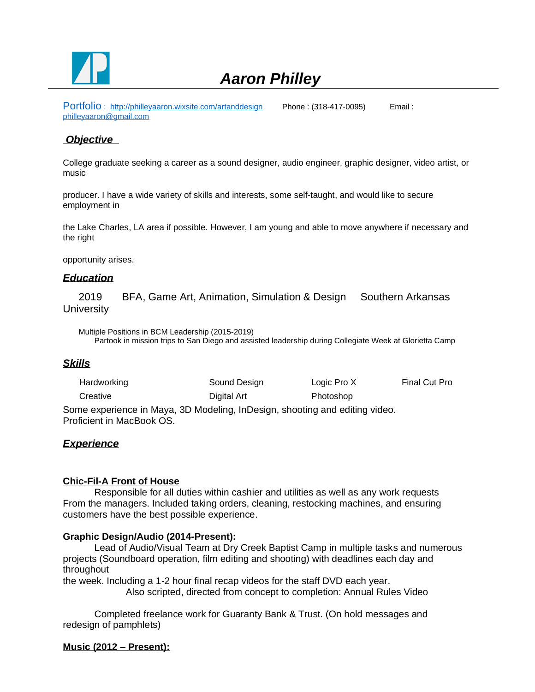

# *Aaron Philley*

Portfolio : <http://philleyaaron.wixsite.com/artanddesign>Phone : (318-417-0095) Email : [philleyaaron@gmail.com](mailto:philleyaaron@gmail.com)

# **Objective**

College graduate seeking a career as a sound designer, audio engineer, graphic designer, video artist, or music

producer. I have a wide variety of skills and interests, some self-taught, and would like to secure employment in

the Lake Charles, LA area if possible. However, I am young and able to move anywhere if necessary and the right

opportunity arises.

## *Education*

2019 BFA, Game Art, Animation, Simulation & Design Southern Arkansas **University** 

Multiple Positions in BCM Leadership (2015-2019) Partook in mission trips to San Diego and assisted leadership during Collegiate Week at Glorietta Camp

#### *Skills*

| Hardworking | Sound Design | Logic Pro X                                                               | Final Cut Pro |
|-------------|--------------|---------------------------------------------------------------------------|---------------|
| Creative    | Digital Art  | Photoshop                                                                 |               |
|             |              | me experience in Maya, 2D Medeling, InDecian, cheeting and editing video. |               |

Some experience in Maya, 3D Modeling, InDesign, shooting and editing video. Proficient in MacBook OS.

#### *Experience*

#### **Chic-Fil-A Front of House**

Responsible for all duties within cashier and utilities as well as any work requests From the managers. Included taking orders, cleaning, restocking machines, and ensuring customers have the best possible experience.

#### **Graphic Design/Audio (2014-Present):**

Lead of Audio/Visual Team at Dry Creek Baptist Camp in multiple tasks and numerous projects (Soundboard operation, film editing and shooting) with deadlines each day and throughout

the week. Including a 1-2 hour final recap videos for the staff DVD each year. Also scripted, directed from concept to completion: Annual Rules Video

Completed freelance work for Guaranty Bank & Trust. (On hold messages and redesign of pamphlets)

#### **Music (2012 – Present):**